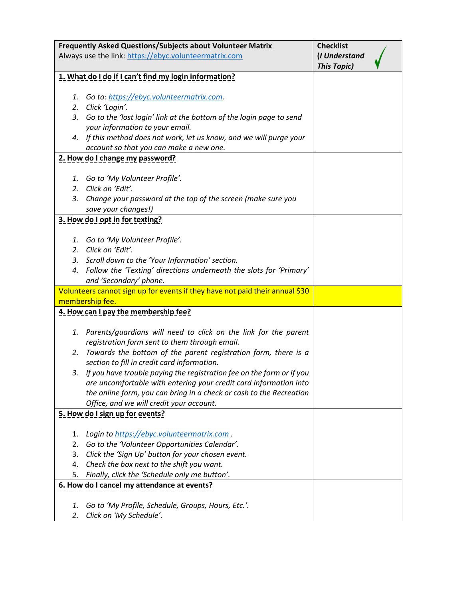| Frequently Asked Questions/Subjects about Volunteer Matrix                   |                                                                                                                 | <b>Checklist</b>                    |  |
|------------------------------------------------------------------------------|-----------------------------------------------------------------------------------------------------------------|-------------------------------------|--|
|                                                                              | Always use the link: https://ebyc.volunteermatrix.com                                                           | (I Understand<br><b>This Topic)</b> |  |
|                                                                              | 1. What do I do if I can't find my login information?                                                           |                                     |  |
|                                                                              |                                                                                                                 |                                     |  |
| 1.                                                                           | Go to: https://ebyc.volunteermatrix.com.                                                                        |                                     |  |
| 2.                                                                           | Click 'Login'.                                                                                                  |                                     |  |
| 3.                                                                           | Go to the 'lost login' link at the bottom of the login page to send                                             |                                     |  |
|                                                                              | your information to your email.                                                                                 |                                     |  |
|                                                                              | 4. If this method does not work, let us know, and we will purge your                                            |                                     |  |
|                                                                              | account so that you can make a new one.                                                                         |                                     |  |
|                                                                              | 2. How do I change my password?                                                                                 |                                     |  |
|                                                                              |                                                                                                                 |                                     |  |
|                                                                              | 1. Go to 'My Volunteer Profile'.                                                                                |                                     |  |
| 3.                                                                           | 2. Click on 'Edit'.                                                                                             |                                     |  |
|                                                                              | Change your password at the top of the screen (make sure you<br>save your changes!)                             |                                     |  |
|                                                                              | 3. How do I opt in for texting?                                                                                 |                                     |  |
|                                                                              |                                                                                                                 |                                     |  |
|                                                                              | 1. Go to 'My Volunteer Profile'.                                                                                |                                     |  |
|                                                                              | 2. Click on 'Edit'.                                                                                             |                                     |  |
|                                                                              | 3. Scroll down to the 'Your Information' section.                                                               |                                     |  |
|                                                                              | 4. Follow the 'Texting' directions underneath the slots for 'Primary'                                           |                                     |  |
|                                                                              | and 'Secondary' phone.                                                                                          |                                     |  |
| Volunteers cannot sign up for events if they have not paid their annual \$30 |                                                                                                                 |                                     |  |
| membership fee.                                                              |                                                                                                                 |                                     |  |
| 4. How can I pay the membership fee?                                         |                                                                                                                 |                                     |  |
|                                                                              |                                                                                                                 |                                     |  |
|                                                                              | 1. Parents/guardians will need to click on the link for the parent                                              |                                     |  |
|                                                                              | registration form sent to them through email.                                                                   |                                     |  |
| 2.                                                                           | Towards the bottom of the parent registration form, there is a                                                  |                                     |  |
|                                                                              | section to fill in credit card information.                                                                     |                                     |  |
| 3.                                                                           | If you have trouble paying the registration fee on the form or if you                                           |                                     |  |
|                                                                              | are uncomfortable with entering your credit card information into                                               |                                     |  |
|                                                                              | the online form, you can bring in a check or cash to the Recreation<br>Office, and we will credit your account. |                                     |  |
|                                                                              | 5. How do I sign up for events?                                                                                 |                                     |  |
|                                                                              |                                                                                                                 |                                     |  |
| 1.                                                                           | Login to https://ebyc.volunteermatrix.com.                                                                      |                                     |  |
| 2.                                                                           | Go to the 'Volunteer Opportunities Calendar'.                                                                   |                                     |  |
| 3.                                                                           | Click the 'Sign Up' button for your chosen event.                                                               |                                     |  |
| 4.                                                                           | Check the box next to the shift you want.                                                                       |                                     |  |
| 5.                                                                           | Finally, click the 'Schedule only me button'.                                                                   |                                     |  |
|                                                                              | 6. How do I cancel my attendance at events?                                                                     |                                     |  |
|                                                                              |                                                                                                                 |                                     |  |
| 1.                                                                           | Go to 'My Profile, Schedule, Groups, Hours, Etc.'.                                                              |                                     |  |
| 2.                                                                           | Click on 'My Schedule'.                                                                                         |                                     |  |